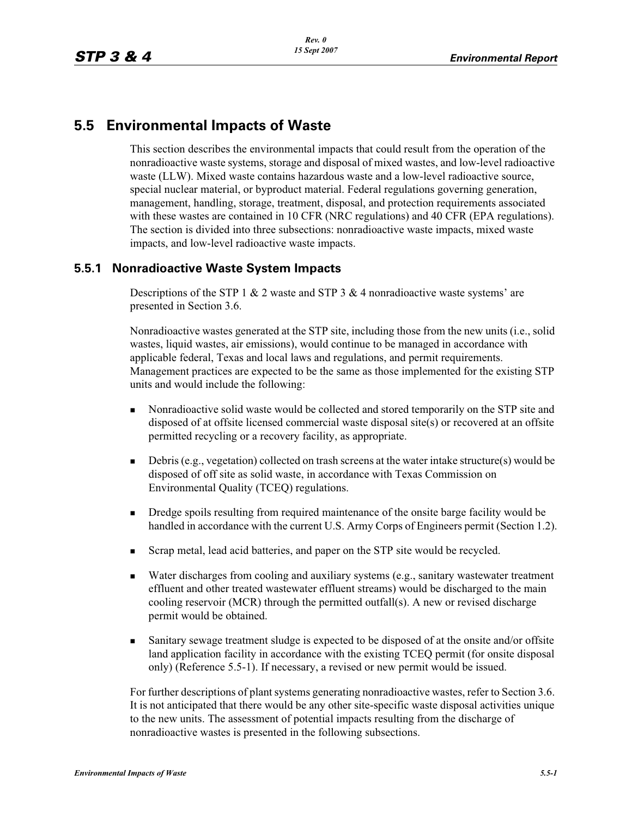# **5.5 Environmental Impacts of Waste**

This section describes the environmental impacts that could result from the operation of the nonradioactive waste systems, storage and disposal of mixed wastes, and low-level radioactive waste (LLW). Mixed waste contains hazardous waste and a low-level radioactive source, special nuclear material, or byproduct material. Federal regulations governing generation, management, handling, storage, treatment, disposal, and protection requirements associated with these wastes are contained in 10 CFR (NRC regulations) and 40 CFR (EPA regulations). The section is divided into three subsections: nonradioactive waste impacts, mixed waste impacts, and low-level radioactive waste impacts.

## **5.5.1 Nonradioactive Waste System Impacts**

Descriptions of the STP 1 & 2 waste and STP 3 & 4 nonradioactive waste systems' are presented in Section 3.6.

Nonradioactive wastes generated at the STP site, including those from the new units (i.e., solid wastes, liquid wastes, air emissions), would continue to be managed in accordance with applicable federal, Texas and local laws and regulations, and permit requirements. Management practices are expected to be the same as those implemented for the existing STP units and would include the following:

- - Nonradioactive solid waste would be collected and stored temporarily on the STP site and disposed of at offsite licensed commercial waste disposal site(s) or recovered at an offsite permitted recycling or a recovery facility, as appropriate.
- - Debris (e.g., vegetation) collected on trash screens at the water intake structure(s) would be disposed of off site as solid waste, in accordance with Texas Commission on Environmental Quality (TCEQ) regulations.
- - Dredge spoils resulting from required maintenance of the onsite barge facility would be handled in accordance with the current U.S. Army Corps of Engineers permit (Section 1.2).
- -Scrap metal, lead acid batteries, and paper on the STP site would be recycled.
- - Water discharges from cooling and auxiliary systems (e.g., sanitary wastewater treatment effluent and other treated wastewater effluent streams) would be discharged to the main cooling reservoir (MCR) through the permitted outfall(s). A new or revised discharge permit would be obtained.
- - Sanitary sewage treatment sludge is expected to be disposed of at the onsite and/or offsite land application facility in accordance with the existing TCEQ permit (for onsite disposal only) (Reference 5.5-1). If necessary, a revised or new permit would be issued.

For further descriptions of plant systems generating nonradioactive wastes, refer to Section 3.6. It is not anticipated that there would be any other site-specific waste disposal activities unique to the new units. The assessment of potential impacts resulting from the discharge of nonradioactive wastes is presented in the following subsections.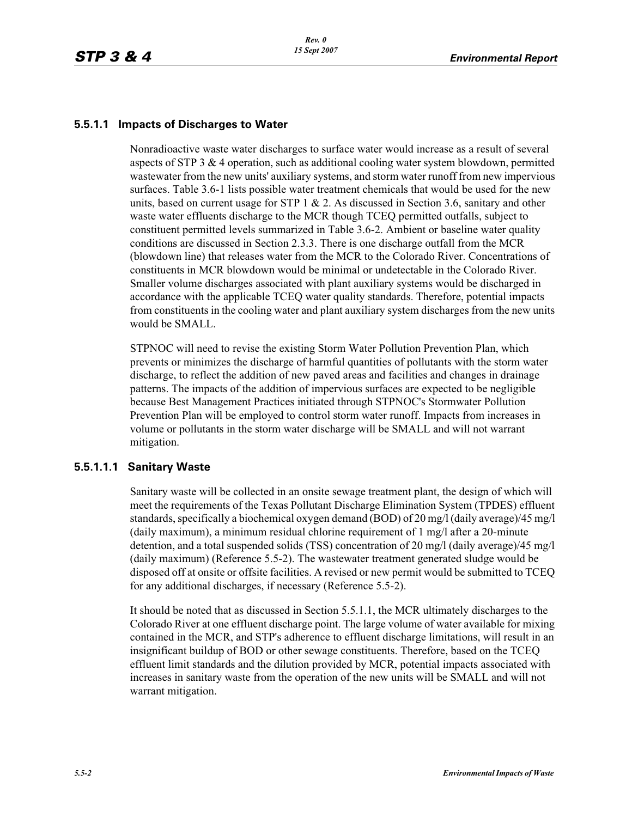## **5.5.1.1 Impacts of Discharges to Water**

Nonradioactive waste water discharges to surface water would increase as a result of several aspects of STP 3 & 4 operation, such as additional cooling water system blowdown, permitted wastewater from the new units' auxiliary systems, and storm water runoff from new impervious surfaces. Table 3.6-1 lists possible water treatment chemicals that would be used for the new units, based on current usage for STP  $1 \& 2$ . As discussed in Section 3.6, sanitary and other waste water effluents discharge to the MCR though TCEQ permitted outfalls, subject to constituent permitted levels summarized in Table 3.6-2. Ambient or baseline water quality conditions are discussed in Section 2.3.3. There is one discharge outfall from the MCR (blowdown line) that releases water from the MCR to the Colorado River. Concentrations of constituents in MCR blowdown would be minimal or undetectable in the Colorado River. Smaller volume discharges associated with plant auxiliary systems would be discharged in accordance with the applicable TCEQ water quality standards. Therefore, potential impacts from constituents in the cooling water and plant auxiliary system discharges from the new units would be SMALL.

STPNOC will need to revise the existing Storm Water Pollution Prevention Plan, which prevents or minimizes the discharge of harmful quantities of pollutants with the storm water discharge, to reflect the addition of new paved areas and facilities and changes in drainage patterns. The impacts of the addition of impervious surfaces are expected to be negligible because Best Management Practices initiated through STPNOC's Stormwater Pollution Prevention Plan will be employed to control storm water runoff. Impacts from increases in volume or pollutants in the storm water discharge will be SMALL and will not warrant mitigation.

#### **5.5.1.1.1 Sanitary Waste**

Sanitary waste will be collected in an onsite sewage treatment plant, the design of which will meet the requirements of the Texas Pollutant Discharge Elimination System (TPDES) effluent standards, specifically a biochemical oxygen demand (BOD) of 20 mg/l (daily average)/45 mg/l (daily maximum), a minimum residual chlorine requirement of 1 mg/l after a 20-minute detention, and a total suspended solids (TSS) concentration of 20 mg/l (daily average)/45 mg/l (daily maximum) (Reference 5.5-2). The wastewater treatment generated sludge would be disposed off at onsite or offsite facilities. A revised or new permit would be submitted to TCEQ for any additional discharges, if necessary (Reference 5.5-2).

It should be noted that as discussed in Section 5.5.1.1, the MCR ultimately discharges to the Colorado River at one effluent discharge point. The large volume of water available for mixing contained in the MCR, and STP's adherence to effluent discharge limitations, will result in an insignificant buildup of BOD or other sewage constituents. Therefore, based on the TCEQ effluent limit standards and the dilution provided by MCR, potential impacts associated with increases in sanitary waste from the operation of the new units will be SMALL and will not warrant mitigation.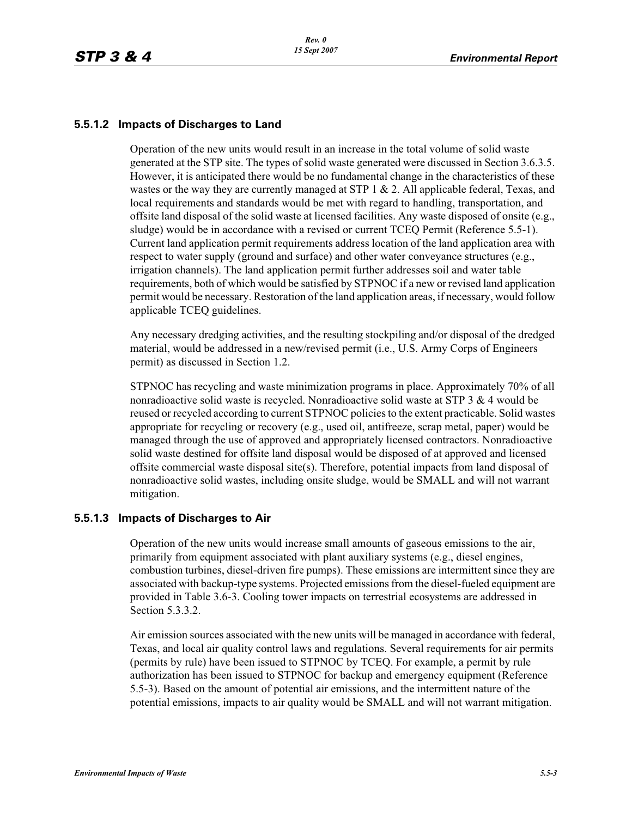#### **5.5.1.2 Impacts of Discharges to Land**

Operation of the new units would result in an increase in the total volume of solid waste generated at the STP site. The types of solid waste generated were discussed in Section 3.6.3.5. However, it is anticipated there would be no fundamental change in the characteristics of these wastes or the way they are currently managed at STP 1  $\&$  2. All applicable federal, Texas, and local requirements and standards would be met with regard to handling, transportation, and offsite land disposal of the solid waste at licensed facilities. Any waste disposed of onsite (e.g., sludge) would be in accordance with a revised or current TCEQ Permit (Reference 5.5-1). Current land application permit requirements address location of the land application area with respect to water supply (ground and surface) and other water conveyance structures (e.g., irrigation channels). The land application permit further addresses soil and water table requirements, both of which would be satisfied by STPNOC if a new or revised land application permit would be necessary. Restoration of the land application areas, if necessary, would follow applicable TCEQ guidelines.

Any necessary dredging activities, and the resulting stockpiling and/or disposal of the dredged material, would be addressed in a new/revised permit (i.e., U.S. Army Corps of Engineers permit) as discussed in Section 1.2.

STPNOC has recycling and waste minimization programs in place. Approximately 70% of all nonradioactive solid waste is recycled. Nonradioactive solid waste at STP 3 & 4 would be reused or recycled according to current STPNOC policies to the extent practicable. Solid wastes appropriate for recycling or recovery (e.g., used oil, antifreeze, scrap metal, paper) would be managed through the use of approved and appropriately licensed contractors. Nonradioactive solid waste destined for offsite land disposal would be disposed of at approved and licensed offsite commercial waste disposal site(s). Therefore, potential impacts from land disposal of nonradioactive solid wastes, including onsite sludge, would be SMALL and will not warrant mitigation.

#### **5.5.1.3 Impacts of Discharges to Air**

Operation of the new units would increase small amounts of gaseous emissions to the air, primarily from equipment associated with plant auxiliary systems (e.g., diesel engines, combustion turbines, diesel-driven fire pumps). These emissions are intermittent since they are associated with backup-type systems. Projected emissions from the diesel-fueled equipment are provided in Table 3.6-3. Cooling tower impacts on terrestrial ecosystems are addressed in Section 5.3.3.2.

Air emission sources associated with the new units will be managed in accordance with federal, Texas, and local air quality control laws and regulations. Several requirements for air permits (permits by rule) have been issued to STPNOC by TCEQ. For example, a permit by rule authorization has been issued to STPNOC for backup and emergency equipment (Reference 5.5-3). Based on the amount of potential air emissions, and the intermittent nature of the potential emissions, impacts to air quality would be SMALL and will not warrant mitigation.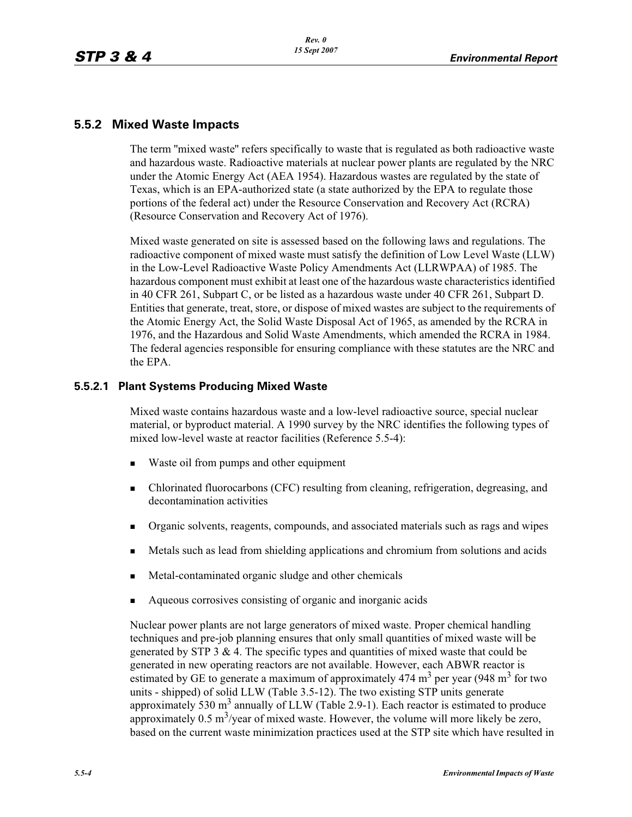## **5.5.2 Mixed Waste Impacts**

The term ''mixed waste'' refers specifically to waste that is regulated as both radioactive waste and hazardous waste. Radioactive materials at nuclear power plants are regulated by the NRC under the Atomic Energy Act (AEA 1954). Hazardous wastes are regulated by the state of Texas, which is an EPA-authorized state (a state authorized by the EPA to regulate those portions of the federal act) under the Resource Conservation and Recovery Act (RCRA) (Resource Conservation and Recovery Act of 1976).

Mixed waste generated on site is assessed based on the following laws and regulations. The radioactive component of mixed waste must satisfy the definition of Low Level Waste (LLW) in the Low-Level Radioactive Waste Policy Amendments Act (LLRWPAA) of 1985. The hazardous component must exhibit at least one of the hazardous waste characteristics identified in 40 CFR 261, Subpart C, or be listed as a hazardous waste under 40 CFR 261, Subpart D. Entities that generate, treat, store, or dispose of mixed wastes are subject to the requirements of the Atomic Energy Act, the Solid Waste Disposal Act of 1965, as amended by the RCRA in 1976, and the Hazardous and Solid Waste Amendments, which amended the RCRA in 1984. The federal agencies responsible for ensuring compliance with these statutes are the NRC and the EPA.

## **5.5.2.1 Plant Systems Producing Mixed Waste**

Mixed waste contains hazardous waste and a low-level radioactive source, special nuclear material, or byproduct material. A 1990 survey by the NRC identifies the following types of mixed low-level waste at reactor facilities (Reference 5.5-4):

- -Waste oil from pumps and other equipment
- - Chlorinated fluorocarbons (CFC) resulting from cleaning, refrigeration, degreasing, and decontamination activities
- -Organic solvents, reagents, compounds, and associated materials such as rags and wipes
- -Metals such as lead from shielding applications and chromium from solutions and acids
- -Metal-contaminated organic sludge and other chemicals
- -Aqueous corrosives consisting of organic and inorganic acids

Nuclear power plants are not large generators of mixed waste. Proper chemical handling techniques and pre-job planning ensures that only small quantities of mixed waste will be generated by STP 3 & 4. The specific types and quantities of mixed waste that could be generated in new operating reactors are not available. However, each ABWR reactor is estimated by GE to generate a maximum of approximately 474 m<sup>3</sup> per year (948 m<sup>3</sup> for two units - shipped) of solid LLW (Table 3.5-12). The two existing STP units generate approximately 530  $m<sup>3</sup>$  annually of LLW (Table 2.9-1). Each reactor is estimated to produce approximately  $0.5 \text{ m}^3/\text{year}$  of mixed waste. However, the volume will more likely be zero, based on the current waste minimization practices used at the STP site which have resulted in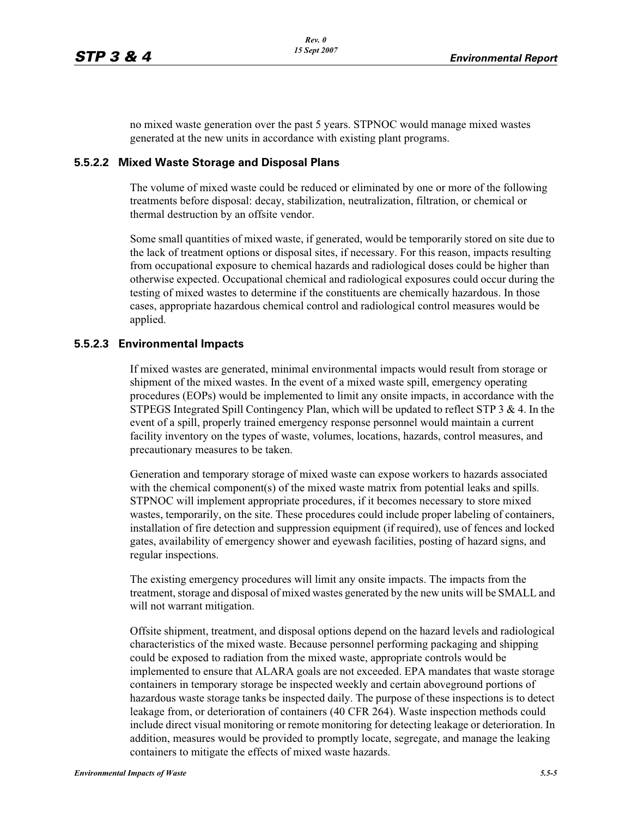no mixed waste generation over the past 5 years. STPNOC would manage mixed wastes generated at the new units in accordance with existing plant programs.

#### **5.5.2.2 Mixed Waste Storage and Disposal Plans**

The volume of mixed waste could be reduced or eliminated by one or more of the following treatments before disposal: decay, stabilization, neutralization, filtration, or chemical or thermal destruction by an offsite vendor.

Some small quantities of mixed waste, if generated, would be temporarily stored on site due to the lack of treatment options or disposal sites, if necessary. For this reason, impacts resulting from occupational exposure to chemical hazards and radiological doses could be higher than otherwise expected. Occupational chemical and radiological exposures could occur during the testing of mixed wastes to determine if the constituents are chemically hazardous. In those cases, appropriate hazardous chemical control and radiological control measures would be applied.

#### **5.5.2.3 Environmental Impacts**

If mixed wastes are generated, minimal environmental impacts would result from storage or shipment of the mixed wastes. In the event of a mixed waste spill, emergency operating procedures (EOPs) would be implemented to limit any onsite impacts, in accordance with the STPEGS Integrated Spill Contingency Plan, which will be updated to reflect STP  $3 \& 4$ . In the event of a spill, properly trained emergency response personnel would maintain a current facility inventory on the types of waste, volumes, locations, hazards, control measures, and precautionary measures to be taken.

Generation and temporary storage of mixed waste can expose workers to hazards associated with the chemical component(s) of the mixed waste matrix from potential leaks and spills. STPNOC will implement appropriate procedures, if it becomes necessary to store mixed wastes, temporarily, on the site. These procedures could include proper labeling of containers, installation of fire detection and suppression equipment (if required), use of fences and locked gates, availability of emergency shower and eyewash facilities, posting of hazard signs, and regular inspections.

The existing emergency procedures will limit any onsite impacts. The impacts from the treatment, storage and disposal of mixed wastes generated by the new units will be SMALL and will not warrant mitigation.

Offsite shipment, treatment, and disposal options depend on the hazard levels and radiological characteristics of the mixed waste. Because personnel performing packaging and shipping could be exposed to radiation from the mixed waste, appropriate controls would be implemented to ensure that ALARA goals are not exceeded. EPA mandates that waste storage containers in temporary storage be inspected weekly and certain aboveground portions of hazardous waste storage tanks be inspected daily. The purpose of these inspections is to detect leakage from, or deterioration of containers (40 CFR 264). Waste inspection methods could include direct visual monitoring or remote monitoring for detecting leakage or deterioration. In addition, measures would be provided to promptly locate, segregate, and manage the leaking containers to mitigate the effects of mixed waste hazards.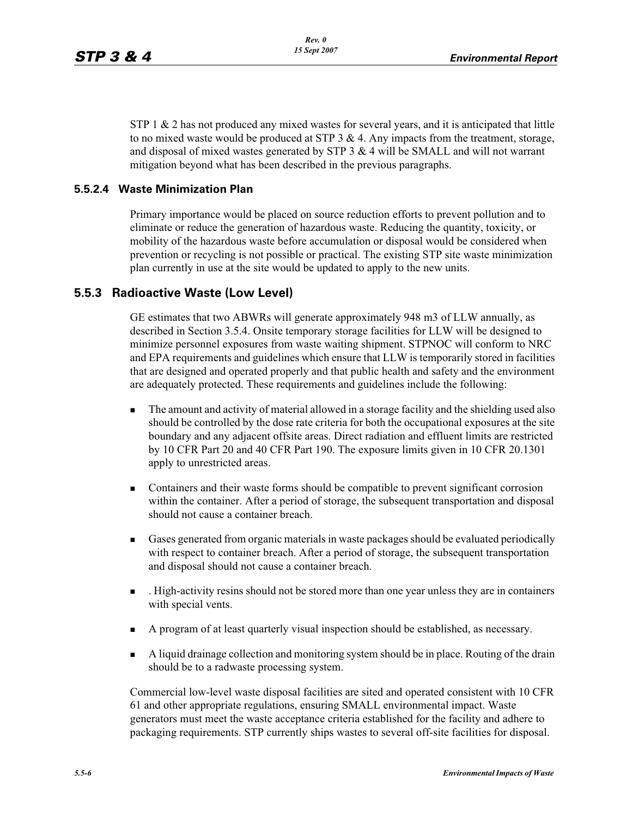$STP_1 \& 2$  has not produced any mixed wastes for several years, and it is anticipated that little to no mixed waste would be produced at STP  $3 \& 4$ . Any impacts from the treatment, storage, and disposal of mixed wastes generated by STP  $3 \& 4$  will be SMALL and will not warrant mitigation beyond what has been described in the previous paragraphs.

## **5.5.2.4 Waste Minimization Plan**

Primary importance would be placed on source reduction efforts to prevent pollution and to eliminate or reduce the generation of hazardous waste. Reducing the quantity, toxicity, or mobility of the hazardous waste before accumulation or disposal would be considered when prevention or recycling is not possible or practical. The existing STP site waste minimization plan currently in use at the site would be updated to apply to the new units.

## **5.5.3 Radioactive Waste (Low Level)**

GE estimates that two ABWRs will generate approximately 948 m3 of LLW annually, as described in Section 3.5.4. Onsite temporary storage facilities for LLW will be designed to minimize personnel exposures from waste waiting shipment. STPNOC will conform to NRC and EPA requirements and guidelines which ensure that LLW is temporarily stored in facilities that are designed and operated properly and that public health and safety and the environment are adequately protected. These requirements and guidelines include the following:

- - The amount and activity of material allowed in a storage facility and the shielding used also should be controlled by the dose rate criteria for both the occupational exposures at the site boundary and any adjacent offsite areas. Direct radiation and effluent limits are restricted by 10 CFR Part 20 and 40 CFR Part 190. The exposure limits given in 10 CFR 20.1301 apply to unrestricted areas.
- Containers and their waste forms should be compatible to prevent significant corrosion within the container. After a period of storage, the subsequent transportation and disposal should not cause a container breach.
- - Gases generated from organic materials in waste packages should be evaluated periodically with respect to container breach. After a period of storage, the subsequent transportation and disposal should not cause a container breach.
- - . High-activity resins should not be stored more than one year unless they are in containers with special vents.
- A program of at least quarterly visual inspection should be established, as necessary.
- - A liquid drainage collection and monitoring system should be in place. Routing of the drain should be to a radwaste processing system.

Commercial low-level waste disposal facilities are sited and operated consistent with 10 CFR 61 and other appropriate regulations, ensuring SMALL environmental impact. Waste generators must meet the waste acceptance criteria established for the facility and adhere to packaging requirements. STP currently ships wastes to several off-site facilities for disposal.